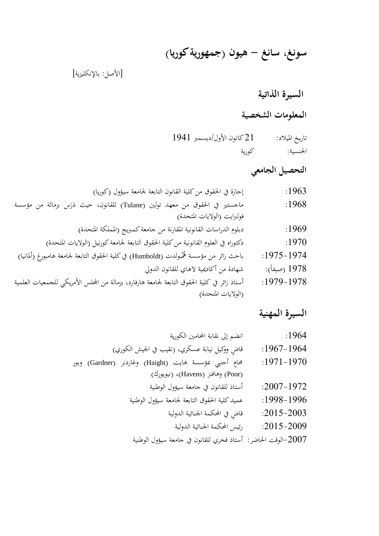# **سونغ، سانغ - هيون )جمهورية كوريا(**

]األصل: باإلنكليزية[

**السيرة الذاتية**

**المعلومات الشخصية**

تاريخ امليالد: 21 كانون األول/ديسمرب 1941 اجلنسية: كورية

**التحصيل الجامعي**

| إجازة في الحقوق من كلية القانون التابعة لجامعة سيؤول (كوريا)                                 | :1963          |
|----------------------------------------------------------------------------------------------|----------------|
| ماجستير في الحقوق من معهد تولين (Tulane) للقانون، حيث دَرَس بزمالة من مؤسسة                  | :1968          |
| فولبرايت (الولايات المتحدة)                                                                  |                |
| دبلوم الدراسات القانونية المقارنة من جامعة كمبريج (المملكة المتحدة)                          | :1969          |
| دكتوراه في العلوم القانونية من كلية الحقوق التابعة لجامعة كورنيل (الولايات المتحدة)          | :1970          |
| باحث زائر من مؤسسة هُمْبولدت (Humboldt) في كلية الحقوق التابعة لجامعة هامبورغ (ألمانيا)      | $:1975 - 1974$ |
| شهادة من أكاديمية لاهاي للقانون الدولي                                                       | 1978 (صيفاً):  |
| أستاذ زائر في كلية الحقوق التابعة لجامعة هارفارد، بزمالة من المحلس الأمريكي للحمعيات العلمية | $:1979-1978$   |
| (الولايات المتحدة)                                                                           |                |

**السيرة المهنية**

| انضم إلى نقابة المحامين الكورية                               | :1964          |
|---------------------------------------------------------------|----------------|
| قاضِ ووكيل نيابة عسكري، (نقيب في الجيش الكوري)                | $:1967-1964$   |
| محامِ أجنبي بمؤسسة هايت (Haight) وغاردنر (Gardner) وبور       | $:1971-1970$   |
| (Poor) وهافنز (Havens)، (نيويورك)                             |                |
| أستاذ للقانون في جامعة سيؤول الوطنية                          | $:2007 - 1972$ |
| عميد كلية الحقوق التابعة لجامعة سيؤول الوطنية                 | $:1998-1996$   |
| قاضٍ في المحكمة الجنائية الدولية                              | $:2015 - 2003$ |
| رئيس المحكمة الجنائية الدولية                                 | $:2015 - 2009$ |
| 2007–الوقت الحاضر:  أستاذ فخري للقانون في جامعة سيؤول الوطنية |                |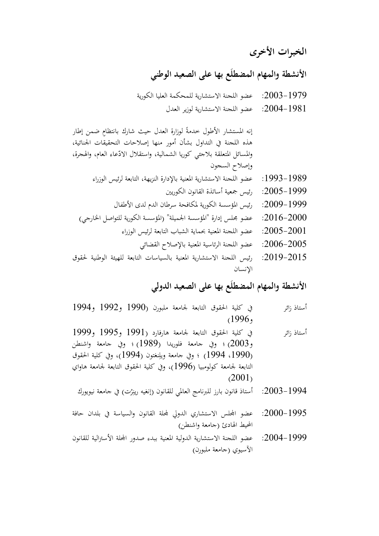**الخبرات األخرى**

**األنشطة والمهام المضطلَع بها على الصعيد الوطني**

- :2003-1979 عضو اللجنة االستشارية للمحكمة العليا الكورية
	- :2004-1981 عضو اللجنة االستشارية لوزير العدل

إنه المستشار الأطول حدمةً لوزارة العدل حيث شارك بانتظامٍ ضمن إطار <u>:</u> هذه اللجنة يف التداول بشأن أمور منها إصالحات التحقيقات اجلنائية، والمسائل المتعلقة بلاجئي كوريا الشمالية، واستقلال الادّعاء العام، والهجرة، وإصالح السجون

- 1989-1993: عضو اللجنة الاستشارية المعنية بالإدارة النزيهة، التابعة لرئيس الوزراء
	- :2005-1999 رئيس مجعية أساتذة القانون الكوريني
	- :2009-2009 رئيس المؤسسة الكورية لمكافحة سرطان الدم لدى الأطفال
- :2016--2010 عضو بحلس إدارة "المؤسسة الجميلة" (المؤسسة الكورية للتواصل الخارجي) $\sim 2016$ 
	- :2005-2001 عضو اللجنة المعنية بحماية الشباب التابعة لرئيس الوزراء  $\sim 2005$ 
		- :2006-2005 عضو اللجنة الرئاسية المعنية بالإصلاح القضائي
- :2019-2015 رئيس اللجنة الاستشارية المعنية بالسياسات التابعة للهيئة الوطنية لحقوق اإلنسان

#### **األنشطة والمهام المضطلَع بها على الصعيد الدولي**

- أستاذ زائر يف كلية احلقوق التابعة جلامعة ملبورن )1990 و1992 و1994  $(1996,$
- أستاذ زائر يف كلية احلقوق التابعة جلامعة هارفارد )1991 و1995 و1999 و2003) ؛ وفي جامعة فلوريدا (1989) ؛ وفي جامعة واشنطن (1990، 1994) ؛ وفي جامعة ويلِنغتون (1994)، وفي كلية الحقوق ِ التابعة لجامعة كولومبيا (1996)، وفي كلية الحقوق التابعة لجامعة هاواي  $(2001)$ 
	- 2003–2003: أستاذ قانون بارز للبرنامج العالمي للقانون (إنغيه رينِرْت) في جامعة نيويورك ِ
- :2000-1995 عضو اجمللس االستشاري الدويل جمللة القانون والسياسة يف بلدان حافة المحيط الهادئ (جامعة واشنطن)
- :2004--2004 عضو اللجنة الاستشارية الدولية المعنية ببدء صدور المحلة الأسترالية للقانون الأسيوي (جامعة ملبورن)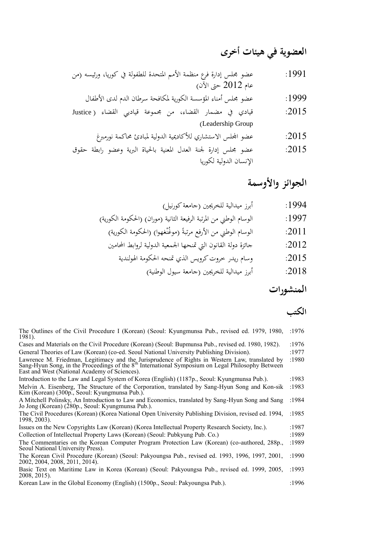## **العضوية في هيئات أخرى**

:1991 عضو جملس إدارة فرع منظمة األمم املتحدة للطفولة يف كوريا، ورئيسه )من عام 2012 حىت اآلن(

:1999 عضو جملس أمناء املؤسسة الكورية ملكافحة سرطان الدم لدى األطفال

:2015 قيادي يف مضمار القضاء، من جمموعة قياديي القضاء ) Justice )Leadership Group

:2015 عضو اجمللس االستشاري لألكادميية الدولية ملبادئ حماكمة نورمربغ

:2015 عضو مجلس إدارة لجنة العدل المعنية بالحياة البرية وعضو رابطة حقوق: اإلنسان الدولية لكوريا

#### **الجوائز واألوسمة**

:1994 أبرز ميدالية للخرجيني )جامعة كورنيل( :1997 الوسام الوطين من املرتبة الرفيعة الثانية )موران( )احلكومة الكورية(

نغهوا( )احلكومة الكورية( ً )موغمْ :2011 الوسام الوطين من األرفع مرتبة

:2012 جائزة دولة القانون اليت متنحها اجلمعية الدولية لروابط احملامني

$$
2015:
$$

t) برز ميدالية للخريبين (جامعة سيول الوطنية):
$$
2018
$$

#### **المنشورات**

### **الكتب**

The Outlines of the Civil Procedure I (Korean) (Seoul: Kyungmunsa Pub., revised ed. 1979, 1980, :1976 1981). Cases and Materials on the Civil Procedure (Korean) (Seoul: Bupmunsa Pub., revised ed. 1980, 1982). :1976 General Theories of Law (Korean) (co-ed. Seoul National University Publishing Division). :1977 Lawrence M. Friedman, Legitimacy and the Jurisprudence of Rights in Western Law, translated by :1980<br>Sang-Hyun Song, in the Proceedings of the 8<sup>th</sup> International Symposium on Legal Philosophy Between East and West (National Academy of Sciences). Introduction to the Law and Legal System of Korea (English) (1187p., Seoul: Kyungmunsa Pub.). :1983 Melvin A. Eisenberg, The Structure of the Corporation, translated by Sang-Hyun Song and Kon-sik :1983 Kim (Korean) (300p., Seoul: Kyungmunsa Pub.). A Mitchell Polinsky, An Introduction to Law and Economics, translated by Sang-Hyun Song and Sang :1984 Jo Jong (Korean) (280p., Seoul: Kyungmunsa Pub.). The Civil Procedures (Korean) (Korea National Open University Publishing Division, revised ed. 1994, :1985 1998, 2003). Issues on the New Copyrights Law (Korean) (Korea Intellectual Property Research Society, Inc.). :1987 Collection of Intellectual Property Laws (Korean) (Seoul: Pubkyung Pub. Co.) :1989 The Commentaries on the Korean Computer Program Protection Law (Korean) (co-authored, 288p., :1989 Seoul National University Press). The Korean Civil Procedure (Korean) (Seoul: Pakyoungsa Pub., revised ed. 1993, 1996, 1997, 2001, :1990 2002, 2004, 2008, 2011, 2014). Basic Text on Maritime Law in Korea (Korean) (Seoul: Pakyoungsa Pub., revised ed. 1999, 2005, :1993 2008, 2015). Korean Law in the Global Economy (English) (1500p., Seoul: Pakyoungsa Pub.). :1996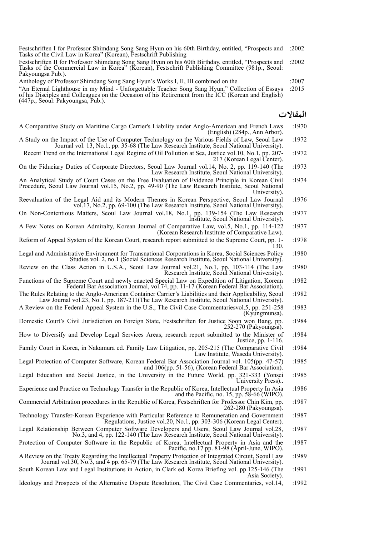Festschriften I for Professor Shimdang Song Sang Hyun on his 60th Birthday, entitled, "Prospects and :2002 Tasks of the Civil Law in Korea" (Korean), Festschrift Publishing

Festschriften II for Professor Shimdang Song Sang Hyun on his 60th Birthday, entitled, "Prospects and :2002 Tasks of the Commercial Law in Korea" (Korean), Festschrift Publishing Committee (981p., Seoul: Pakyoungsa Pub.).

Anthology of Professor Shimdang Song Sang Hyun's Works I, II, III combined on the :2007

"An Eternal Lighthouse in my Mind - Unforgettable Teacher Song Sang Hyun," Collection of Essays :2015 of his Disciples and Colleagues on the Occasion of his Retirement from the ICC (Korean and English) (447p., Seoul: Pakyoungsa, Pub.).

#### **المقاالت**

- A Comparative Study on Maritime Cargo Carrier's Liability under Anglo-American and French Laws :1970 (English) (284p., Ann Arbor).
- A Study on the Impact of the Use of Computer Technology on the Various Fields of Law, Seoul Law :1972 Journal vol. 13, No.1, pp. 35-68 (The Law Research Institute, Seoul National University).
- Recent Trend on the International Legal Regime of Oil Pollution at Sea, Justice vol.10, No.1, pp. 207- :1972 217 (Korean Legal Center).
- On the Fiduciary Duties of Corporate Directors, Seoul Law Journal vol.14, No. 2, pp. 119-140 (The :1973 Law Research Institute, Seoul National University).
- An Analytical Study of Court Cases on the Free Evaluation of Evidence Principle in Korean Civil :1974 Procedure, Seoul Law Journal vol.15, No.2, pp. 49-90 (The Law Research Institute, Seoul National University).
- Reevaluation of the Legal Aid and its Modern Themes in Korean Perspective, Seoul Law Journal :1976 vol.17, No.2, pp. 69-100 (The Law Research Institute, Seoul National University).
- On Non-Contentious Matters, Seoul Law Journal vol.18, No.1, pp. 139-154 (The Law Research :1977 Institute, Seoul National University).
- A Few Notes on Korean Admiralty, Korean Journal of Comparative Law, vol.5, No.1, pp. 114-122 :1977 (Korean Research Institute of Comparative Law).
- Reform of Appeal System of the Korean Court, research report submitted to the Supreme Court, pp. 1- :1978 130.
- Legal and Administrative Environment for Transnational Corporations in Korea, Social Sciences Policy :1980 Studies vol. 2, no.1 (Social Sciences Research Institute, Seoul National University).
- Review on the Class Action in U.S.A., Seoul Law Journal vol.21, No.1, pp. 103-114 (The Law :1980 Research Institute, Seoul National University).
- Functions of the Supreme Court and newly enacted Special Law on Expedition of Litigation, Korean :1982 Federal Bar Association Journal, vol.74, pp. 11-17 (Korean Federal Bar Association).
- The Rules Relating to the Anglo-American Container Carrier's Liabilities and their Applicability, Seoul :1982 Law Journal vol.23, No.1, pp. 187-211(The Law Research Institute, Seoul National University).
- A Review on the Federal Appeal System in the U.S., The Civil Case Commentariesvol.5, pp. 251-258 :1983 (Kyungmunsa).
- Domestic Court's Civil Jurisdiction on Foreign State, Festschriften for Justice Soon won Bang, pp. :1984 252-270 (Pakyoungsa).
- How to Diversify and Develop Legal Services Areas, research report submitted to the Minister of :1984 Justice, pp. 1-116.
- Family Court in Korea, in Nakamura ed. Family Law Litigation, pp. 205-215 (The Comparative Civil :1984 Law Institute, Waseda University).
- Legal Protection of Computer Software, Korean Federal Bar Association Journal vol. 105(pp. 47-57) :1985 and 106(pp. 51-56), (Korean Federal Bar Association).
- Legal Education and Social Justice, in the University in the Future World, pp. 321-333 (Yonsei :1985 University Press)..
- Experience and Practice on Technology Transfer in the Republic of Korea, Intellectual Property In Asia :1986 and the Pacific, no. 15, pp. 58-66 (WIPO).
- Commercial Arbitration procedures in the Republic of Korea, Festschriften for Professor Chin Kim, pp. :1987 262-280 (Pakyoungsa).
- Technology Transfer-Korean Experience with Particular Reference to Remuneration and Government :1987 Regulations, Justice vol.20, No.1, pp. 303-306 (Korean Legal Center).
- Legal Relationship Between Computer Software Developers and Users, Seoul Law Journal vol.28, :1987 No.3, and 4, pp. 122-140 (The Law Research Institute, Seoul National University).
- Protection of Computer Software in the Republic of Korea, Intellectual Property in Asia and the :1987 Pacific, no.17 pp. 81-98 (April-June, WIPO).
- A Review on the Treaty Regarding the Intellectual Property Protection of Integrated Circuit, Seoul Law :1989 Journal vol.30, No.3, and 4 pp. 65-79 (The Law Research Institute, Seoul National University).
- South Korean Law and Legal Institutions in Action, in Clark ed. Korea Briefing vol. pp.125-146 (The :1991 Asia Society).
- Ideology and Prospects of the Alternative Dispute Resolution, The Civil Case Commentaries, vol.14, :1992